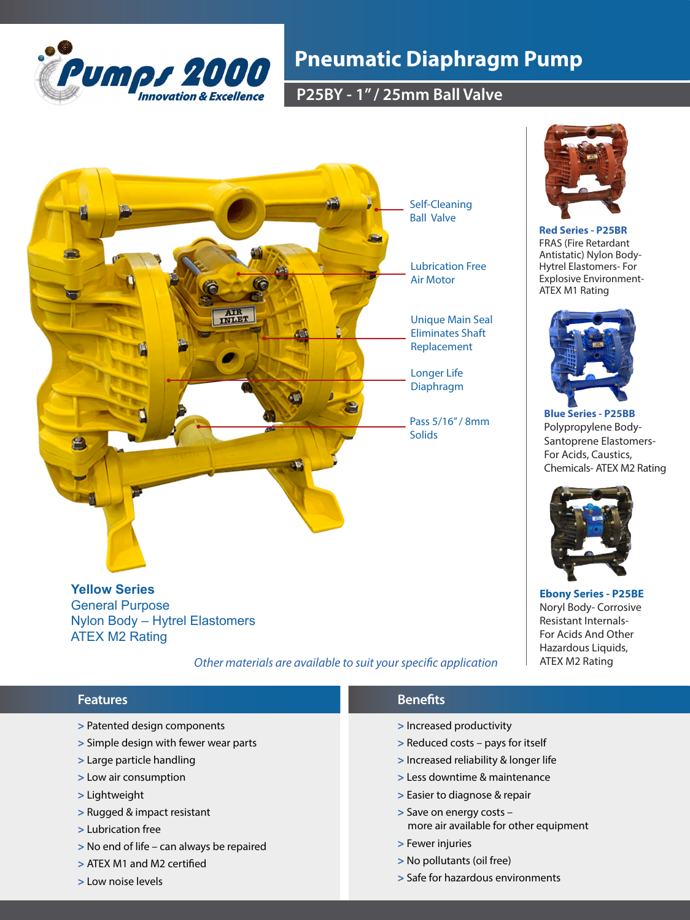

# **Pneumatic Diaphragm Pump**

**P25BY - 1" / 25mm Ball Valve**



**Red Series - P25BR**  FRAS (Fire Retardant Antistatic) Nylon Body-Hytrel Elastomers- For Explosive Environment-ATEX M1 Rating



**Blue Series - P25BB** Polypropylene Body-Santoprene Elastomers-For Acids, Caustics, Chemicals- ATEX M2 Rating



**Ebony Series - P25BE**  Noryl Body- Corrosive Resistant Internals-For Acids And Other Hazardous Liquids, ATEX M2 Rating

Nylon Body – Hytrel Elastomers ATEX M2 Rating

 *Other materials are available to suit your specific application*

### **>** Increased productivity **>** Reduced costs – pays for itself **>** Increased reliability & longer life **>** Less downtime & maintenance **>** Easier to diagnose & repair **>** Save on energy costs – more air available for other equipment **>** Fewer injuries **>** No pollutants (oil free) **>** Safe for hazardous environments **>** Patented design components **>** Simple design with fewer wear parts **>** Large particle handling **>** Low air consumption **>** Lightweight **>** Rugged & impact resistant **>** Lubrication free **>** No end of life – can always be repaired **>** ATEX M1 and M2 certified **Features Benefits**

**>** Low noise levels